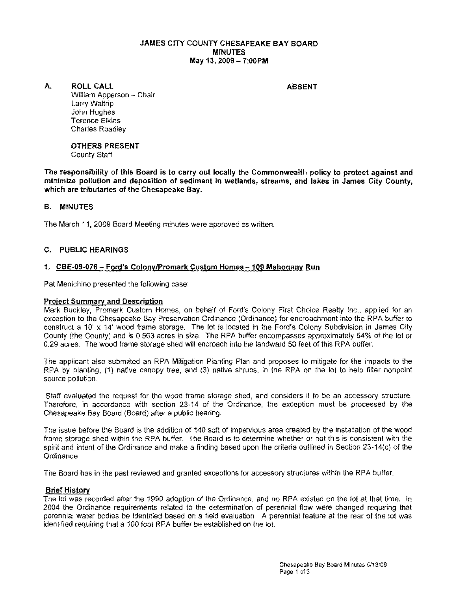#### JAMES CITY COUNTY CHESAPEAKE BAY BOARD **MINUTES** May 13, 2009 - 7:00 PM

A. ROLL CALL ABSENT

William Apperson - Chair Larry Waltrip John Hughes Terence Elkins Charles Roadley

#### OTHERS PRESENT County Staff

The responsibility of this Board is to carry out locally the Commonwealth policy to protect against and minimize pollution and deposition of sediment in wetlands, streams, and lakes in James City County, which are tributaries of the Chesapeake Bay.

## B. MINUTES

The March 11, 2009 Board Meeting minutes were approved as written.

## C. PUBLIC HEARINGS

## 1. CBE-09-076 - Ford's Colony/Promark Custom Homes - 109 Mahogany Run

Pat Menichino presented the following case:

## Project Summary and Description

Mark Buckley, Promark Custom Homes, on behalf of Ford's Colony First Choice Realty Inc., applied for an exception to the Chesapeake Bay Preservation Ordinance (Ordinance) for encroachment into the RPA buffer to construct a 10' x 14' wood frame storage. The lot is located in the Ford's Colony Subdivision in James City County (the County) and is 0.563 acres in size. The RPA buffer encompasses approximately 54% of the lot or 0.29 acres. The wood frame storage shed will encroach into the landward 50 feet of this RPA buffer.

The applicant also submitted an RPA Mitigation Planting Plan and proposes to mitigate for the impacts to the RPA by planting. (1) native canopy tree, and (3) native shrubs, in the RPA on the lot to help filter nonpoint source pollution.

Staff evaluated the request for the wood frame storage shed, and considers it to be an accessory structure Therefore, in accordance with section 23-14 of the Ordinance, the exception must be processed by the Chesapeake Bay Board (Board) after a public hearing.

The issue before the Board is the addition of 140 sqft of impervious area created by the installation of the wood frame storage shed within the RPA buffer. The Board is to determine whether or not this is consistent with the spirit and intent of the Ordinance and make a finding based upon the criteria outlined in Section 23-14(c) of the Ordinance.

The Board has in the past reviewed and granted exceptions for accessory structures within the RPA buffer.

## Brief History

The lot was recorded after the 1990 adoption of the Ordinance, and no RPA existed on the lot at that time. In 2004 the Ordinance requirements related to the determination of perennial flow were changed requiring that perennial water bedies be identified based on a field evaluation. A perennial feature at the rear of the lot was identified requiring that a 100 foot RPA buffer be established on the lot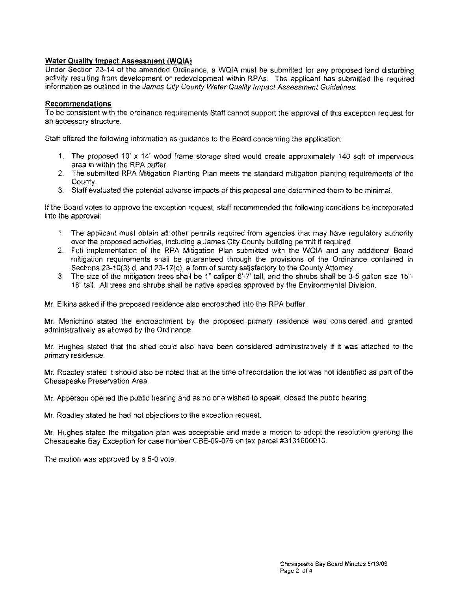#### **Water Quality Impact Assessment (WQIA)**

Under Section 23-14 of the amended Ordinance, a WQIA must be submitted for any proposed land disturbing activity resulting from development or redevelopment within RPAs. The applicant has submitted the required information as outlined in the James City County Water Quality Impact Assessment Guidelines.

#### **Recommendations**

To be consistent with the ordinance requirements Staff cannot support the approval of this exception request for an accessory structure.

Staff offered the following information as quidance to the Board concerning the application:

- 1. The proposed 10' x 14' wood frame storage shed would create approximately 140 sqft of impervious area in within the RPA buffer.
- 2. The submitted RPA Mitigation Planting Plan meets the standard mitigation planting requirements of the County.
- 3. Staff evaluated the potential adverse impacts of this proposal and determined them to be minimal.

If the Board votes to approve the exception request, staff recommended the following conditions be incorporated into the approval:

- 1. The applicant must obtain all other permits required from agencies that may have regulatory authority over the proposed activities, including a James City County building permit if required.
- 2. Full implementation of the RPA Mitigation Plan submitted with the WQIA and any additional Board mitigation requirements shall be guaranteed through the provisions of the Ordinance contained in Sections 23-10(3) d. and 23-17(c), a form of surety satisfactory to the County Attorney.
- 3. The size of the mitigation trees shall be 1" caliper 6'-7' tall, and the shrubs shall be 3-5 gallon size 15"-18" tall All trees and shrubs shall be native species approved by the Environmental Division.

Mr. Elkins asked if the proposed residence also encroached into the RPA buffer.

Mr. Menichino stated the encroachment by the proposed primary residence was considered and granted administratively as allowed by the Ordinance.

Mr. Hughes stated that the shed could also have been considered administratively if it was attached to the primary residence.

Mr. Roadley stated it should also be noted that at the time of recordation the lot was not idenlified as part of the Chesapeake Preservation Area.

Mr. Apperson opened the public hearing and as no one wished to speak, closed the public hearing.

Mr. Roadley stated he had not objections to the exception request

**Mr.** Hughes stated the mitigation plan was acceptable and made a motion to adopt the resolution granling the Chesapeake Bay Exception for case number CBE-OB-076 on tax parcel #3131000010.

The motion was approved by a 5-0 vote.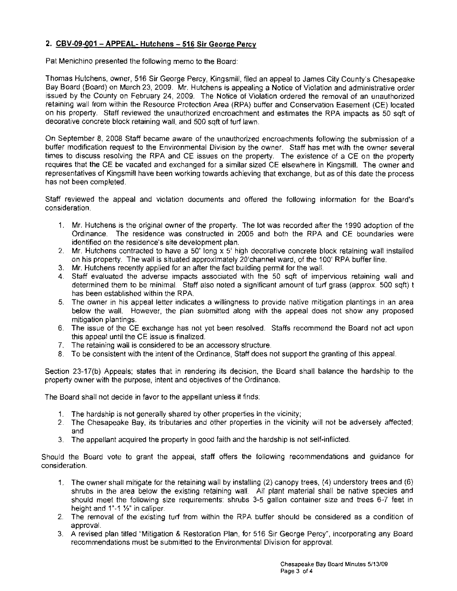# **2. CBV-09-001 - APPEAL- Hutchens - 516 Sir George Percy**

Pat Menichino presented the following memo to the Board:

Thomas Hutchens, owner, 516 Sir Gecrge Percy, Kingsmill. filed an appeal to James City County's Chesapeake Bay Board (Board) on March 23, 2009. Mr. Hutchens is appealing a Notice of Violation and administrative order issued by the County on February 24, 2009. The Notice of Violation ordered the removal of an unauthorized retaining wall from within the Resource Protection Area (RPA) buffer and Conservation Easement (CE) located on his property. Staff reviewed the unauthorized encroachment and estimates the RPA impacts as 50 sqft of decorative concrete block retaining wall, and 500 sqft of turf lawn.

On September 8, 2008 Staff became aware of the unauthorized encroachments following the submission of a buffer modification request to the Environmental Division by the owner. Staff has met with the owner several times to discuss resolving the RPA and CE issues on the property. The existence of a CE on the property requires that the CE be vacated and exchanged for a similar sized CE elsewhere in Kingsmill, The owner and representatives of Kingsmill have been working towards achieving that exchange, but as of this date the process has not been completed.

Staff reviewed the appeal and violation documents and offered the following information for the Board's consideration.

- 1, Mr. Hutchens is the original owner of the property. The lot was recorded after the 1990 adoption of the Ordinance. The residence was constructed in 2005 and both the RPA and CE boundaries were identified on the residence's site development plan,
- 2. Mr, Hutchens contracted to have a 50' long x 5' high decorative concrete block retaining wall installed on his property, The wall is situated approximately 20'channel ward, of the 100' RPA buffer line,
- 3. Mr. Hutchens recently applied for an after the fact building permit for the wall.
- 4. Staff evaluated the adverse impacts associated with the 50 sqft of impervious retaining wall and determined them to be minimal. Staff also noted a significant amount of turf grass (approx. 500 sqft) t has been established within the RPA.
- 5. The owner in his appeal letter indicates a willingness to provide native mitigation plantings in an area below the wall, However, the plan submitted along with the appeal does not show any proposed mitigation plantings,
- 6. The issue of the CE exchange has not yet been resolved. Staffs recommend the Board not act upon this appeal until the CE issue is finalized.
- 7, The retaining wall is considered to be an accessory structure.
- 8. To be consistent with the intent of the Ordinance, Staff does not support the granting of this appeal.

Section 23-17(b) Appeals; states that in rendering its decision, the Board shall balance the hardship to the property owner with the purpose, intent and objectives of the Ordinance,

The Board shall not decide in favor to the appellant unless it finds:

- 1. The hardship is not generally shared by other properties in the vicinity;
- 2. The Chesapeake Bay, its tributaries and other properties in the vicinity will not be adversely affected; and
- 3. The appellant acquired the property in good faith and the hardship is not self-inflicted.

Should the Board vote to grant the appeal, staff offers the following recommendations and guidance for consideration,

- 1, The owner shall mitigate for the retaining wall by installing (2) canopy trees, (4) understory trees and (6) shrubs in the area below the existing retaining wall. All plant material shall be native species and should meet the following size requirements: shrubs 3-5 gallon container size and trees 6-7 feet in height and  $1" - 1$   $\frac{1}{2}$ " in caliper.
- 2. The removal of the existing turf from within the RPA buffer should be considered as a condition of approval.
- 3. A revised plan titled "Mitigation & Restoration Plan, for 516 Sir George Percy", incorporating any Board recommendations must be submitted to the Environmental Division for approval.